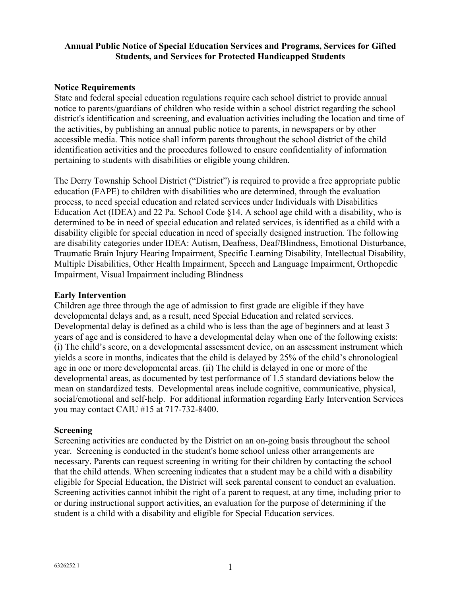## **Annual Public Notice of Special Education Services and Programs, Services for Gifted Students, and Services for Protected Handicapped Students**

#### **Notice Requirements**

State and federal special education regulations require each school district to provide annual notice to parents/guardians of children who reside within a school district regarding the school district's identification and screening, and evaluation activities including the location and time of the activities, by publishing an annual public notice to parents, in newspapers or by other accessible media. This notice shall inform parents throughout the school district of the child identification activities and the procedures followed to ensure confidentiality of information pertaining to students with disabilities or eligible young children.

The Derry Township School District ("District") is required to provide a free appropriate public education (FAPE) to children with disabilities who are determined, through the evaluation process, to need special education and related services under Individuals with Disabilities Education Act (IDEA) and 22 Pa. School Code §14. A school age child with a disability, who is determined to be in need of special education and related services, is identified as a child with a disability eligible for special education in need of specially designed instruction. The following are disability categories under IDEA: Autism, Deafness, Deaf/Blindness, Emotional Disturbance, Traumatic Brain Injury Hearing Impairment, Specific Learning Disability, Intellectual Disability, Multiple Disabilities, Other Health Impairment, Speech and Language Impairment, Orthopedic Impairment, Visual Impairment including Blindness

#### **Early Intervention**

Children age three through the age of admission to first grade are eligible if they have developmental delays and, as a result, need Special Education and related services. Developmental delay is defined as a child who is less than the age of beginners and at least 3 years of age and is considered to have a developmental delay when one of the following exists: (i) The child's score, on a developmental assessment device, on an assessment instrument which yields a score in months, indicates that the child is delayed by 25% of the child's chronological age in one or more developmental areas. (ii) The child is delayed in one or more of the developmental areas, as documented by test performance of 1.5 standard deviations below the mean on standardized tests. Developmental areas include cognitive, communicative, physical, social/emotional and self-help. For additional information regarding Early Intervention Services you may contact CAIU #15 at 717-732-8400.

#### **Screening**

Screening activities are conducted by the District on an on-going basis throughout the school year. Screening is conducted in the student's home school unless other arrangements are necessary. Parents can request screening in writing for their children by contacting the school that the child attends. When screening indicates that a student may be a child with a disability eligible for Special Education, the District will seek parental consent to conduct an evaluation. Screening activities cannot inhibit the right of a parent to request, at any time, including prior to or during instructional support activities, an evaluation for the purpose of determining if the student is a child with a disability and eligible for Special Education services.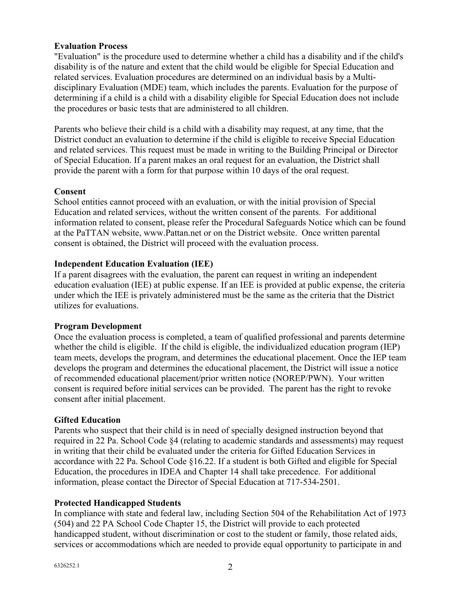## **Evaluation Process**

"Evaluation" is the procedure used to determine whether a child has a disability and if the child's disability is of the nature and extent that the child would be eligible for Special Education and related services. Evaluation procedures are determined on an individual basis by a Multidisciplinary Evaluation (MDE) team, which includes the parents. Evaluation for the purpose of determining if a child is a child with a disability eligible for Special Education does not include the procedures or basic tests that are administered to all children.

Parents who believe their child is a child with a disability may request, at any time, that the District conduct an evaluation to determine if the child is eligible to receive Special Education and related services. This request must be made in writing to the Building Principal or Director of Special Education. If a parent makes an oral request for an evaluation, the District shall provide the parent with a form for that purpose within 10 days of the oral request.

## **Consent**

School entities cannot proceed with an evaluation, or with the initial provision of Special Education and related services, without the written consent of the parents. For additional information related to consent, please refer the Procedural Safeguards Notice which can be found at the PaTTAN website, www.Pattan.net or on the District website. Once written parental consent is obtained, the District will proceed with the evaluation process.

## **Independent Education Evaluation (IEE)**

If a parent disagrees with the evaluation, the parent can request in writing an independent education evaluation (IEE) at public expense. If an IEE is provided at public expense, the criteria under which the IEE is privately administered must be the same as the criteria that the District utilizes for evaluations.

#### **Program Development**

Once the evaluation process is completed, a team of qualified professional and parents determine whether the child is eligible. If the child is eligible, the individualized education program (IEP) team meets, develops the program, and determines the educational placement. Once the IEP team develops the program and determines the educational placement, the District will issue a notice of recommended educational placement/prior written notice (NOREP/PWN). Your written consent is required before initial services can be provided. The parent has the right to revoke consent after initial placement.

#### **Gifted Education**

Parents who suspect that their child is in need of specially designed instruction beyond that required in 22 Pa. School Code §4 (relating to academic standards and assessments) may request in writing that their child be evaluated under the criteria for Gifted Education Services in accordance with 22 Pa. School Code §16.22. If a student is both Gifted and eligible for Special Education, the procedures in IDEA and Chapter 14 shall take precedence. For additional information, please contact the Director of Special Education at 717-534-2501.

# **Protected Handicapped Students**

In compliance with state and federal law, including Section 504 of the Rehabilitation Act of 1973 (504) and 22 PA School Code Chapter 15, the District will provide to each protected handicapped student, without discrimination or cost to the student or family, those related aids, services or accommodations which are needed to provide equal opportunity to participate in and